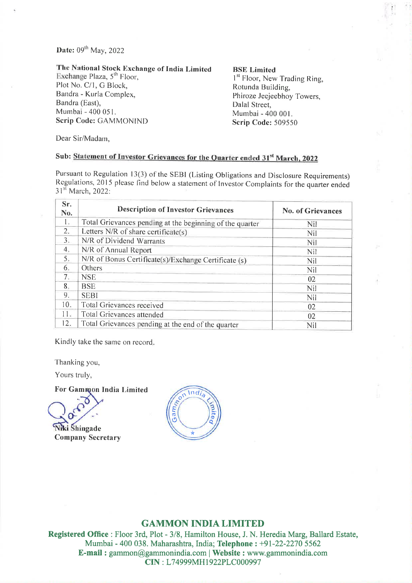## Date: 09<sup>th</sup> May, 2022

The National Stock Exchange of India Limited Exchange Plaza, 5<sup>th</sup> Floor, Plot No. C/1, G Block. Bandra - Kurla Complex, Bandra (East), Mumbai - 400 051. Scrip Code: GAMMONIND

#### **BSE** Limited

1<sup>st</sup> Floor, New Trading Ring, Rotunda Building, Phiroze Jeejeebhoy Towers. Dalal Street. Mumbai - 400 001. **Scrip Code: 509550** 

Dear Sir/Madam,

# Sub: Statement of Investor Grievances for the Quarter ended 31st March, 2022

Pursuant to Regulation 13(3) of the SEBI (Listing Obligations and Disclosure Requirements) Regulations, 2015 please find below a statement of Investor Complaints for the quarter ended 31<sup>st</sup> March, 2022:

| Sr.<br>No.      | <b>Description of Investor Grievances</b>                | No. of Grievances |
|-----------------|----------------------------------------------------------|-------------------|
| 1.              | Total Grievances pending at the beginning of the quarter | Nil               |
| 2.              | Letters N/R of share certificate(s)                      | Nil               |
| 3.              | N/R of Dividend Warrants                                 | Nil               |
| 4.              | N/R of Annual Report                                     | Nil               |
| 5:              | N/R of Bonus Certificate(s)/Exchange Certificate (s)     | Nil               |
| 6.              | Others                                                   | Nil               |
| 7.              | <b>NSE</b>                                               | 02                |
| 8.              | <b>BSE</b>                                               | Nil               |
| 9.              | <b>SEBI</b>                                              | Nil               |
| 10 <sub>1</sub> | Total Grievances received                                | 02                |
| 11 <sub>W</sub> | Total Grievances attended                                | 02                |
| 12.             | Total Grievances pending at the end of the quarter       | Nil               |

Kindly take the same on record.

Thanking you,

Yours truly,

For Gammon India Limited

**Niki Shingade** 

**Company Secretary** 



## **GAMMON INDIA LIMITED**

Registered Office : Floor 3rd, Plot - 3/8, Hamilton House, J. N. Heredia Marg, Ballard Estate, Mumbai - 400 038. Maharashtra, India; Telephone : +91-22-2270 5562 E-mail: gammon@gammonindia.com | Website: www.gammonindia.com CIN: L74999MH1922PLC000997